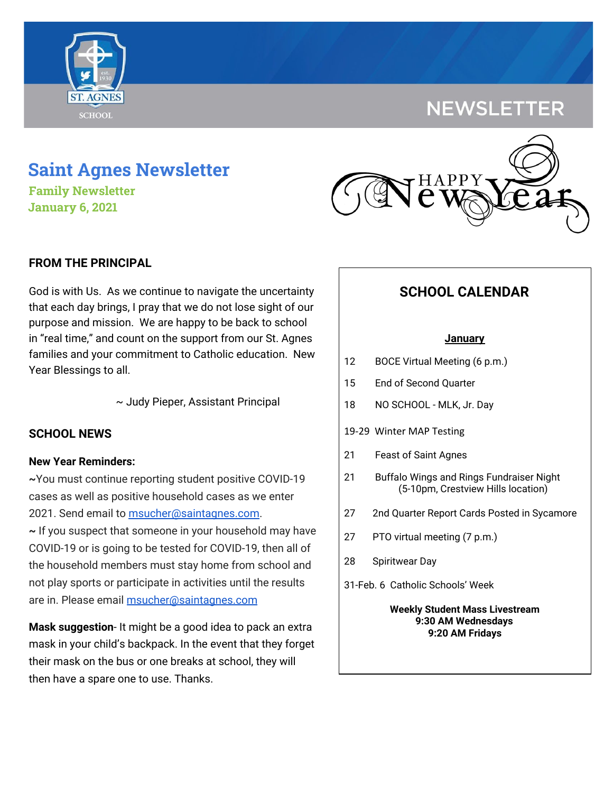## **NEWSLETTER**

# **Saint Agnes Newsletter**

**Family Newsletter January 6, 2021**

## **FROM THE PRINCIPAL**

God is with Us. As we continue to navigate the uncertainty that each day brings, I pray that we do not lose sight of our purpose and mission. We are happy to be back to school in "real time," and count on the support from our St. Agnes families and your commitment to Catholic education. New Year Blessings to all.

~ Judy Pieper, Assistant Principal

## **SCHOOL NEWS**

## **New Year Reminders:**

**~**You must continue reporting student positive COVID-19 cases as well as positive household cases as we enter 2021. Send email to [msucher@saintagnes.com.](mailto:msucher@saintagnes.com)

**~** If you suspect that someone in your household may have COVID-19 or is going to be tested for COVID-19, then all of the household members must stay home from school and not play sports or participate in activities until the results are in. Please email [msucher@saintagnes.com](mailto:msucher@saintagnes.com)

**Mask suggestion**- It might be a good idea to pack an extra mask in your child's backpack. In the event that they forget their mask on the bus or one breaks at school, they will then have a spare one to use. Thanks.



## **SCHOOL CALENDAR**

### **January**

- 12 BOCE Virtual Meeting (6 p.m.)
- 15 End of Second Quarter
- 18 NO SCHOOL MLK, Jr. Day
- 19-29 Winter MAP Testing
- 21 Feast of Saint Agnes
- 21 Buffalo Wings and Rings Fundraiser Night (5-10pm, Crestview Hills location)
- 27 2nd Quarter Report Cards Posted in Sycamore
- 27 PTO virtual meeting (7 p.m.)
- 28 Spiritwear Day
- 31-Feb. 6 Catholic Schools' Week

**Weekly Student Mass Livestream 9:30 AM Wednesdays 9:20 AM Fridays**